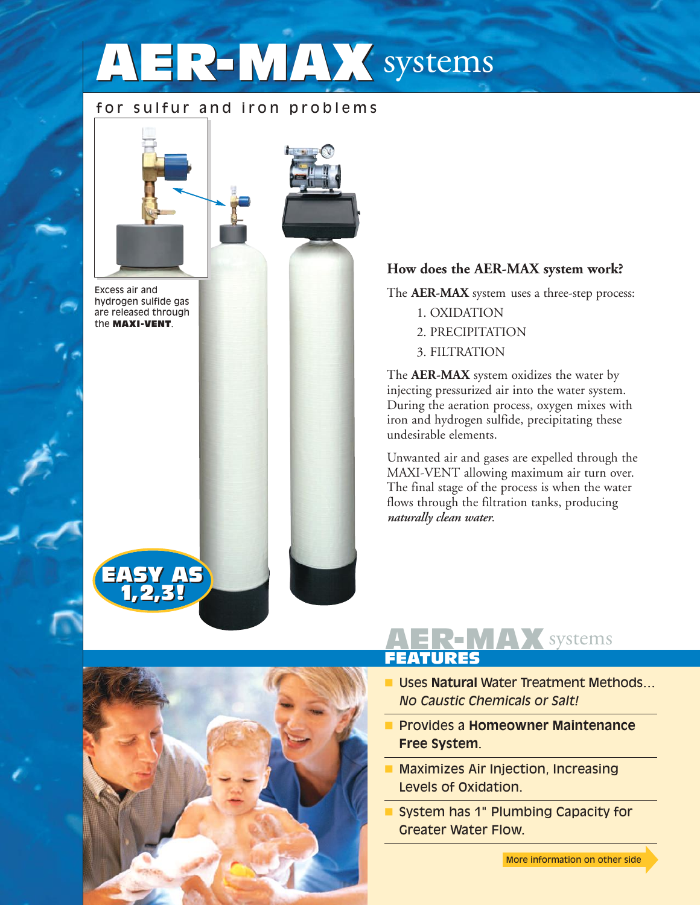# **AER-MAX** systems

### for sulfur and iron problems



Excess air and hydrogen sulfide gas are released through the **MAXI-VENT**.

**EASY AS 1,2,3! EASY AS 1,2,3!**



#### **How does the AER-MAX system work?**

The **AER-MAX** system uses a three-step process:

- 1. OXIDATION
- 2. PRECIPITATION
- 3. FILTRATION

The **AER-MAX** system oxidizes the water by injecting pressurized air into the water system. During the aeration process, oxygen mixes with iron and hydrogen sulfide, precipitating these undesirable elements.

Unwanted air and gases are expelled through the MAXI-VENT allowing maximum air turn over. The final stage of the process is when the water flows through the filtration tanks, producing *naturally clean water*.



### **AER-MAX** systems **FEATURES**

- **Uses Natural Water Treatment Methods...** *No Caustic Chemicals or Salt!*
- Provides a **Homeowner Maintenance Free System**.
- **E** Maximizes Air Injection, Increasing Levels of Oxidation.
- **System has 1" Plumbing Capacity for** Greater Water Flow.